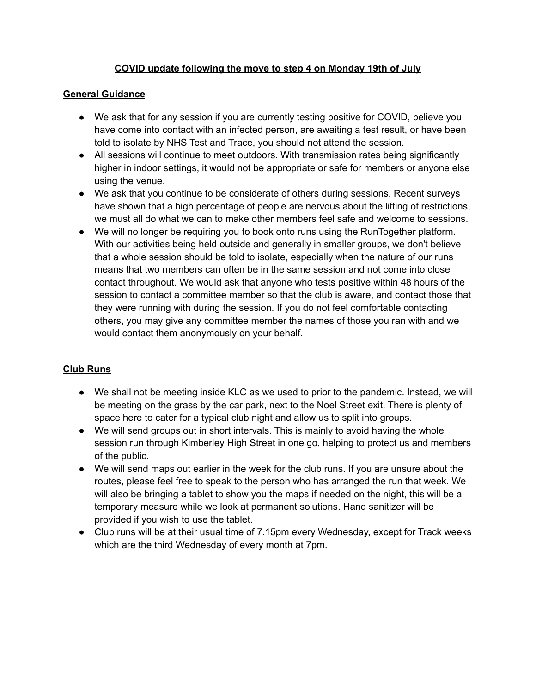# **COVID update following the move to step 4 on Monday 19th of July**

### **General Guidance**

- We ask that for any session if you are currently testing positive for COVID, believe you have come into contact with an infected person, are awaiting a test result, or have been told to isolate by NHS Test and Trace, you should not attend the session.
- All sessions will continue to meet outdoors. With transmission rates being significantly higher in indoor settings, it would not be appropriate or safe for members or anyone else using the venue.
- We ask that you continue to be considerate of others during sessions. Recent surveys have shown that a high percentage of people are nervous about the lifting of restrictions, we must all do what we can to make other members feel safe and welcome to sessions.
- We will no longer be requiring you to book onto runs using the RunTogether platform. With our activities being held outside and generally in smaller groups, we don't believe that a whole session should be told to isolate, especially when the nature of our runs means that two members can often be in the same session and not come into close contact throughout. We would ask that anyone who tests positive within 48 hours of the session to contact a committee member so that the club is aware, and contact those that they were running with during the session. If you do not feel comfortable contacting others, you may give any committee member the names of those you ran with and we would contact them anonymously on your behalf.

# **Club Runs**

- We shall not be meeting inside KLC as we used to prior to the pandemic. Instead, we will be meeting on the grass by the car park, next to the Noel Street exit. There is plenty of space here to cater for a typical club night and allow us to split into groups.
- We will send groups out in short intervals. This is mainly to avoid having the whole session run through Kimberley High Street in one go, helping to protect us and members of the public.
- We will send maps out earlier in the week for the club runs. If you are unsure about the routes, please feel free to speak to the person who has arranged the run that week. We will also be bringing a tablet to show you the maps if needed on the night, this will be a temporary measure while we look at permanent solutions. Hand sanitizer will be provided if you wish to use the tablet.
- Club runs will be at their usual time of 7.15pm every Wednesday, except for Track weeks which are the third Wednesday of every month at 7pm.